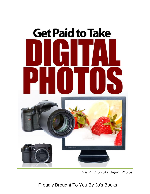

*Get Paid to Take Digital Photos*

Proudly Brought To You By Jo's Books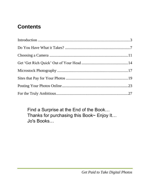# **Contents**

Find a Surprise at the End of the Book… Thanks for purchasing this Book~ Enjoy It… Jo's Books…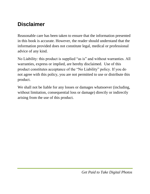# <span id="page-2-0"></span>**Disclaimer**

Reasonable care has been taken to ensure that the information presented in this book is accurate. However, the reader should understand that the information provided does not constitute legal, medical or professional advice of any kind.

No Liability: this product is supplied "as is" and without warranties. All warranties, express or implied, are hereby disclaimed. Use of this product constitutes acceptance of the "No Liability" policy. If you do not agree with this policy, you are not permitted to use or distribute this product.

We shall not be liable for any losses or damages whatsoever (including, without limitation, consequential loss or damage) directly or indirectly arising from the use of this product.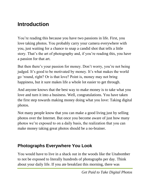## **Introduction**

You're reading this because you have two passions in life. First, you love taking photos. You probably carry your camera everywhere with you, just waiting for a chance to snap a candid shot that tells a little story. That's the art of photography and, if you're reading this, you have a passion for that art.

But then there's your passion for money. Don't worry, you're not being judged. It's good to be motivated by money. It's what makes the world go 'round, right? Or is that love? Point is, money may not bring happiness, but it sure makes life a whole lot easier to get through.

And anyone knows that the best way to make money is to take what you love and turn it into a business. Well, congratulations. You have taken the first step towards making money doing what you love: Taking digital photos.

Not many people know that you can make a good living just by selling photos over the Internet. But once you become aware of just how many photos we're exposed to on a daily basis, the realization that you can make money taking great photos should be a no-brainer.

#### **Photographs Everywhere You Look**

You would have to live in a shack out in the woods like the Unabomber to not be exposed to literally hundreds of photographs per day. Think about your daily life. If you ate breakfast this morning, there was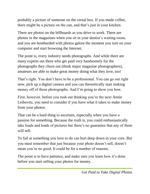probably a picture of someone on the cereal box. If you made coffee, there might be a picture on the can, and that's just in your kitchen.

There are photos on the billboards as you drive to work. There are photos in the magazines when you sit in your dentist's waiting room, and you are bombarded with photos galore the moment you turn on your computer and start browsing the Internet.

The point is, every industry needs photographs. And while there are many experts out there who get paid very handsomely for the photographs they churn out (think major magazine photographers), amateurs are able to make great money doing what they love, too!

That's right. You don't have to be a professional. You can go out right now, pick up a digital camera and you can theoretically start making money off of those photographs. And I'm going to show you how.

First, however, before you rush out thinking you're the next Annie Leibovitz, you need to consider if you have what it takes to make money from your photos.

That can be a hard thing to ascertain, especially when you have a passion for something. Because the truth is, you could enthusiastically take loads and loads of pictures but there's no guarantee that any of them will sell.

To fail at something you love to do can hurt deep down in your core. But you must remember that just because your photo doesn't sell, doesn't mean you're no good. It could be for a number of reasons.

The point is to have patience, and make sure you learn how it's done before you start selling your photos for money.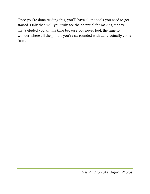Once you're done reading this, you'll have all the tools you need to get started. Only then will you truly see the potential for making money that's eluded you all this time because you never took the time to wonder where all the photos you're surrounded with daily actually come from.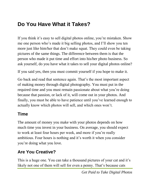# <span id="page-6-0"></span>**Do You Have What it Takes?**

If you think it's easy to sell digital photos online, you're mistaken. Show me one person who's made it big selling photos, and I'll show you ten more just like him/her that don't make squat. They could even be taking pictures of the same things. The difference between them is that the person who made it put time and effort into his/her photo business. So ask yourself, do you have what it takes to sell your digital photos online?

If you said yes, then you must commit yourself if you hope to make it.

Go back and read that sentence again. That's the most important aspect of making money through digital photography. You must put in the required time and you must remain passionate about what you're doing because that passion, or lack of it, will come out in your photos. And finally, you must be able to have patience until you've learned enough to actually know which photos will sell, and which ones won't.

#### **Time**

The amount of money you make with your photos depends on how much time you invest in your business. On average, you should expect to work at least four hours per week, and more if you're really ambitious. Four hours is nothing and it's worth it when you consider you're doing what you love.

#### **Are You Creative?**

This is a huge one. You can take a thousand pictures of your cat and it's likely not one of them will sell for even a penny. That's because cats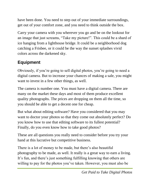have been done. You need to step out of your immediate surroundings, get out of your comfort zone, and you need to think outside the box.

Carry your camera with you wherever you go and be on the lookout for an image that just screams, "Take my picture!". This could be a shard of ice hanging from a lighthouse bridge. It could be a neighborhood dog catching a Frisbee, or it could be the way the sunset splashes vivid colors across the darkened sky.

### **Equipment**

Obviously, if you're going to sell digital photos, you're going to need a digital camera. But to increase your chances of making a sale, you might want to invest in a few other things, as well.

The camera is number one. You must have a digital camera. There are many on the market these days and most of them produce excellent quality photographs. The prices are dropping on them all the time, so you should be able to get a decent one for cheap.

But what about editing software? Have you considered that you may want to doctor your photos so that they come out absolutely perfect? Do you know how to use that editing software to its fullest potential? Finally, do you even know how to take good photos?

These are all questions you really need to consider before you try your hand at this lucrative but competitive business.

There is a lot of money to be made, but there's also beautiful photography to be made, as well. It really is a great way to earn a living. It's fun, and there's just something fulfilling knowing that others are willing to pay for the photos you've taken. However, you must also be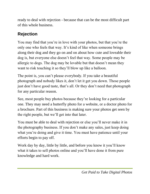ready to deal with rejection - because that can be the most difficult part of this whole business.

### **Rejection**

You may find that you're in love with your photos, but that you're the only one who feels that way. It's kind of like when someone brings along their dog and they go on and on about how cute and loveable their dog is, but everyone else doesn't feel that way. Some people may be allergic to dogs. The dog may be lovable but that doesn't mean they want to risk touching it so they'll blow up like a balloon.

The point is, you can't please everybody. If you take a beautiful photograph and nobody likes it, don't let it get you down. Those people just don't have good taste, that's all. Or they don't need that photograph for any particular reason.

See, most people buy photos because they're looking for a particular one. They may need a butterfly photo for a website, or a doctor photo for a brochure. Part of this business is making sure your photos get seen by the right people, but we'll get into that later.

You must be able to deal with rejection or else you'll never make it in the photography business. If you don't make any sales, just keep doing what you're doing and give it time. You must have patience until your efforts begin to pay off.

Work day by day, little by little, and before you know it you'll know what it takes to sell photos online and you'll have done it from pure knowledge and hard work.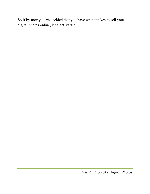So if by now you've decided that you have what it takes to sell your digital photos online, let's get started.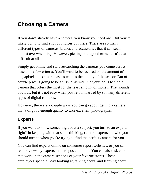# <span id="page-10-0"></span>**Choosing a Camera**

If you don't already have a camera, you know you need one. But you're likely going to find a lot of choices out there. There are so many different types of cameras, brands and accessories that it can seem almost overwhelming. However, picking out a good camera isn't that difficult at all.

Simply get online and start researching the cameras you come across based on a few criteria. You'll want to be focused on the amount of megapixels the camera has, as well as the quality of the sensor. But of course price is going to be an issue, as well. So your job is to find a camera that offers the most for the least amount of money. That sounds obvious, but it's not easy when you're bombarded by so many different types of digital cameras.

However, there are a couple ways you can go about getting a camera that's of good enough quality to take excellent photographs.

#### **Experts**

If you want to know something about a subject, you turn to an expert, right? In keeping with that same thinking, camera experts are who you should turn to when you're trying to find the perfect camera for you.

You can find experts online on consumer report websites, or you can read reviews by experts that are posted online. You can also ask clerks that work in the camera sections of your favorite stores. These employees spend all day looking at, talking about, and learning about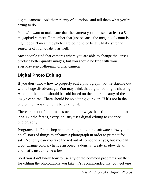digital cameras. Ask them plenty of questions and tell them what you're trying to do.

You will want to make sure that the camera you choose is at least a 5 megapixel camera. Remember that just because the megapixel count is high, doesn't mean the photos are going to be better. Make sure the sensor is of high quality, as well.

Most people find that cameras where you are able to change the lenses produce better quality images, but you should be fine with your everyday run-of-the-mill digital camera.

### **Digital Photo Editing**

If you don't know how to properly edit a photograph, you're starting out with a huge disadvantage. You may think that digital editing is cheating. After all, the photo should be sold based on the natural beauty of the image captured. There should be no editing going on. If it's not in the photo, then you shouldn't be paid for it.

There are a lot of old timers stuck in their ways that still hold onto that idea. But the fact is, every industry uses digital editing to enhance photography.

Programs like Photoshop and other digital editing software allow you to do all sorts of things to enhance a photograph in order to prime it for sale. Not only can you take the red out of someone's eyes, but you can crop, change colors, change an object's density, create shadow detail, and that's just to name a few.

So if you don't know how to use any of the common programs out there for editing the photographs you take, it's recommended that you get one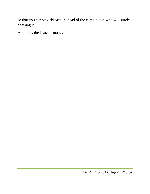so that you can stay abreast or ahead of the competition who will surely be using it.

And now, the issue of money.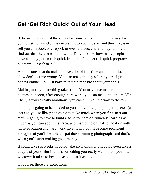# <span id="page-13-0"></span>**Get 'Get Rich Quick' Out of Your Head**

It doesn't matter what the subject is, someone's figured out a way for you to get rich quick. They explain it to you in detail and they may even sell you an eBook or a report, or even a video, and you buy it, only to find out that the tactics don't work. Do you know how many people have actually gotten rich quick from all of the get rich quick programs out there? Less than 2%!

And the ones that do make it have a lot of free time and a lot of luck. Now don't get me wrong. You can make money selling your digital photos online. You just have to remain realistic about your goals.

Making money in anything takes time. You may have to start at the bottom, but soon, after enough hard work, you can make it to the middle. Then, if you're really ambitious, you can climb all the way to the top.

Nothing is going to be handed to you and you're going to get rejected (a lot) and you're likely not going to make much when you first start out. You're going to have to build a solid foundation, which is learning as much as you can about the trade, and then build on that foundation with more education and hard work. Eventually you'll become proficient enough that you'll be able to spot those winning photographs and that's when you'll start making good money.

It could take six weeks, it could take six months and it could even take a couple of years. But if this is something you really want to do, you'll do whatever it takes to become as good at it as possible.

Of course, there are exceptions.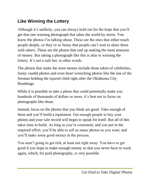### **Like Winning the Lottery**

Although it's unlikely, you can always hold out for the hope that you'll get that one winning photograph that takes the world by storm. You know the photos I'm talking about. These are the ones that either touch people deeply, or they're so funny that people can't wait to share them with others. These are the photos that end up making the most amounts of money. But taking a photograph like this is akin to winning the lottery. It's not a safe bet, in other words.

The photos that make the most money include those taken of celebrities, funny candid photos and even heart wrenching photos like the one of the fireman holding the injured child right after the Oklahoma City Bombings.

While it is possible to take a photo that could potentially make you hundreds of thousands of dollars or more, it's best not to focus on photographs like those.

Instead, focus on the photos that you think are good. Take enough of them and you'll build a reputation. Get enough people to buy your photos and your sale record will begin to speak for itself. But all of this takes time to build. As long as you're consistent, and you put in the required effort, you'll be able to sell as many photos as you want, and you'll make some good money in the process.

You aren't going to get rich, at least not right away. You have to get good if you hope to make enough money so that you never have to work again, which, for paid photography, is very possible.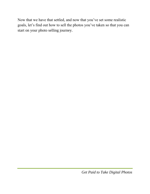Now that we have that settled, and now that you've set some realistic goals, let's find out how to sell the photos you've taken so that you can start on your photo selling journey.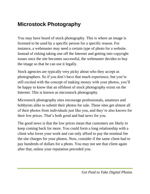# <span id="page-16-0"></span>**Microstock Photography**

You may have heard of stock photography. This is where an image is licensed to be used by a specific person for a specific reason. For instance, a webmaster may need a certain type of photo for a website. Instead of risking taking one off the Internet and getting into copyright issues once the site becomes successful, the webmaster decides to buy the image so that he can use it legally.

Stock agencies are typically very picky about who they accept as photographers. So if you don't have that much experience, but you're still excited with the concept of making money with your photos, you'll be happy to know that an offshoot of stock photography exists on the Internet. This is known as microstock photography.

Microstock photography sites encourage professionals, amateurs and hobbyists alike to submit their photos for sale. These sites get almost all of their photos from individuals just like you, and they're also known for their low prices. That's both good and bad news for you.

The good news is that the low prices mean that customers are likely to keep coming back for more. You could form a long relationship with a client who loves your work and can only afford to pay the nominal fee the site charges for your photos. Now, consider if the same client had to pay hundreds of dollars for a photo. You may not see that client again after that, unless your reputation preceded you.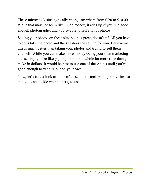These microstock sites typically charge anywhere from \$.20 to \$10.00. While that may not seem like much money, it adds up if you're a good enough photographer and you're able to sell a lot of photos.

Selling your photos on these sites sounds great, doesn't it? All you have to do is take the photo and the site does the selling for you. Believe me, this is much better than taking your photos and trying to sell them yourself. While you can make more money doing your own marketing and selling, you're likely going to put in a whole lot more time than you make in dollars. It would be best to use one of these sites until you're good enough to venture out on your own.

Now, let's take a look at some of these microstock photography sites so that you can decide which one(s) to use.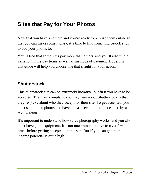# <span id="page-18-0"></span>**Sites that Pay for Your Photos**

Now that you have a camera and you're ready to publish them online so that you can make some money, it's time to find some microstock sites to add your photos to.

You'll find that some sites pay more than others, and you'll also find a variation in the pay terms as well as methods of payment. Hopefully, this guide will help you choose one that's right for your needs.

#### **Shutterstock**

This microstock site can be extremely lucrative, but first you have to be accepted. The main complaint you may hear about Shutterstock is that they're picky about who they accept for their site. To get accepted, you must send in ten photos and have at least seven of them accepted by a review team.

It's important to understand how stock photography works, and you also must have good equipment. It's not uncommon to have to try a few times before getting accepted on this site. But if you can get in, the income potential is quite high.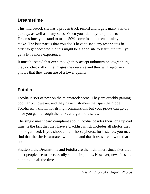#### **Dreamstime**

This microstock site has a proven track record and it gets many visitors per day, as well as many sales. When you submit your photos to Dreamstime, you stand to make 50% commission on each sale you make. The best part is that you don't have to send any test photos in order to get accepted. So this might be a good site to start with until you get a little more experience.

It must be stated that even though they accept unknown photographers, they do check all of the images they receive and they will reject any photos that they deem are of a lower quality.

#### **Fotolia**

Fotolia is sort of new on the microstock scene. They are quickly gaining popularity, however, and they have customers that span the globe. Fotolia isn't known for its high commissions but your prices can go up once you gain through the ranks and get more sales.

The single most heard complaint about Fotolia, besides their long upload time, is the fact that they have a blacklist which includes all photos they no longer need. If you shoot a lot of horse photos, for instance, you may find that the site is saturated with them and that horses are now on that list.

Shutterstock, Dreamstime and Fotolia are the main microstock sites that most people use to successfully sell their photos. However, new sites are popping up all the time.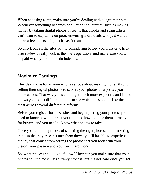When choosing a site, make sure you're dealing with a legitimate site. Whenever something becomes popular on the Internet, such as making money by taking digital photos, it seems that crooks and scam artists can't wait to capitalize on poor, unwitting individuals who just want to make a few bucks using their passion and talent.

So check out all the sites you're considering before you register. Check user reviews, really look at the site's operations and make sure you will be paid when your photos do indeed sell.

### **Maximize Earnings**

The ideal move for anyone who is serious about making money through selling their digital photos is to submit your photos to any sites you come across. That way you stand to get much more exposure, and it also allows you to test different photos to see which ones people like the most across several different platforms.

Before you register for these sites and begin posting your photos, you need to know how to market your photos, how to make them attractive for buyers, and you need to know what photos to take.

Once you learn the process of selecting the right photos, and marketing them so that buyers can't turn them down, you'll be able to experience the joy that comes from selling the photos that you took with your vision, your passion and your own hard work.

So, what process should you follow? How can you make sure that your photos sell the most? It's a tricky process, but it's not hard once you get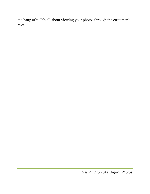the hang of it. It's all about viewing your photos through the customer's eyes.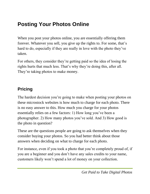# <span id="page-22-0"></span>**Posting Your Photos Online**

When you post your photos online, you are essentially offering them forever. Whatever you sell, you give up the rights to. For some, that's hard to do, especially if they are really in love with the photo they've taken.

For others, they consider they're getting paid so the idea of losing the rights hurts that much less. That's why they're doing this, after all. They're taking photos to make money.

#### **Pricing**

The hardest decision you're going to make when posting your photos on these microstock websites is how much to charge for each photo. There is no easy answer to this. How much you charge for your photos essentially relies on a few factors: 1) How long you've been a photographer. 2) How many photos you've sold. And 3) How good is the photo in question?

These are the questions people are going to ask themselves when they consider buying your photos. So you had better think about those answers when deciding on what to charge for each photo.

For instance, even if you took a photo that you're completely proud of, if you are a beginner and you don't have any sales credits to your name, customers likely won't spend a lot of money on your collection.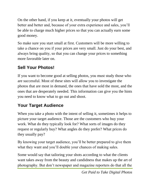On the other hand, if you keep at it, eventually your photos will get better and better and, because of your extra experience and sales, you'll be able to charge much higher prices so that you can actually earn some good money.

So make sure you start small at first. Customers will be more willing to take a chance on you if your prices are very small. Just do your best, and always bring quality, so that you can change your prices to something more favorable later on.

### **Sell Your Photos!**

If you want to become good at selling photos, you must study those who are successful. Most of these sites will allow you to investigate the photos that are most in demand, the ones that have sold the most, and the ones that are desperately needed. This information can give you the hints you need to know what to go out and shoot.

### **Your Target Audience**

When you take a photo with the intent of selling it, sometimes it helps to picture your target audience. Those are the customers who buy your work. What do they typically look for? What sorts of images do they request or regularly buy? What angles do they prefer? What prices do they usually pay?

By knowing your target audience, you'll be better prepared to give them what they want and you'll double your chances of making sales.

Some would say that tailoring your shots according to what the clients want takes away from the beauty and candidness that makes up the art of photography. But don't newspaper and magazine reporters do that all the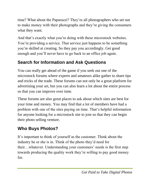time? What about the Paparazzi? They're all photographers who set out to make money with their photographs and they're giving the consumers what they want.

And that's exactly what you're doing with these microstock websites. You're providing a service. That service just happens to be something you're skilled at creating. So they pay you accordingly. Get good enough and you'll never have to go back to an office job again.

### **Search for Information and Ask Questions**

You can really get ahead of the game if you seek out one of the microstock forums where experts and amateurs alike gather to share tips and tricks of the trade. These forums can not only be a great platform for advertising your art, but you can also learn a lot about the entire process so that you can improve over time.

These forums are also great places to ask about which sites are best for your time and money. You may find that a lot of members have had a problem with one of the sites paying on time. That's helpful information for anyone looking for a microstock site to join so that they can begin their photo selling venture.

### **Who Buys Photos?**

It's important to think of yourself as the customer. Think about the industry he or she is in. Think of the photo they'd need for their…whatever. Understanding your customers' needs is the first step towards producing the quality work they're willing to pay good money for.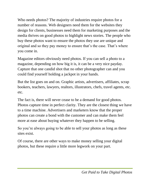Who needs photos? The majority of industries require photos for a number of reasons. Web designers need them for the websites they design for clients, businesses need them for marketing purposes and the media thrives on good photos to highlight news stories. The people who buy these photos want to ensure the photos they use are unique and original and so they pay money to ensure that's the case. That's where you come in.

Magazine editors obviously need photos. If you can sell a photo to a magazine, depending on how big it is, it can be a very nice payday. Capture that one candid shot that no other photographer can and you could find yourself holding a jackpot in your hands.

But the list goes on and on. Graphic artists, advertisers, affiliates, scrap bookers, teachers, lawyers, realtors, illustrators, chefs, travel agents, etc. etc.

The fact is, there will never cease to be a demand for good photos. Photos capture time in perfect clarity. They are the closest thing we have to a time machine. Advertisers and marketers know that the proper photos can create a bond with the customer and can make them feel more at ease about buying whatever they happen to be selling.

So you're always going to be able to sell your photos as long as these sites exist.

Of course, there are other ways to make money selling your digital photos, but these require a little more legwork on your part.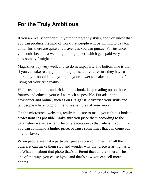# <span id="page-26-0"></span>**For the Truly Ambitious**

If you are really confident in your photography skills, and you know that you can produce the kind of work that people will be willing to pay top dollar for, there are quite a few avenues you can pursue. For instance, you could become a wedding photographer, which gets paid very handsomely I might add.

Magazines pay very well, and so do newspapers. The bottom line is that if you can take really good photographs, and you're sure they have a market, you should do anything in your power to make that dream of living off your art a reality.

While using the tips and tricks in this book, keep reading up on those forums and educate yourself as much as possible. Put ads in the newspaper and online, such as on Craigslist. Advertise your skills and tell people where to go online to see samples of your work.

On the microstock websites, really take care to make your photos look as professional as possible. Make sure you price them according to the parameters we set earlier. The only exception to that rule is if you think you can command a higher price, because sometimes that can come out in your favor.

When people see that a particular piece is priced higher than all the others, it can make them stop and wonder why that piece is as high as it is. What is it about that photo that's different than all the others? This is one of the ways you cause hype, and that's how you can sell more photos.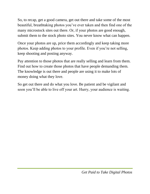So, to recap, get a good camera, get out there and take some of the most beautiful, breathtaking photos you've ever taken and then find one of the many microstock sites out there. Or, if your photos are good enough, submit them to the stock photo sites. You never know what can happen.

Once your photos are up, price them accordingly and keep taking more photos. Keep adding photos to your profile. Even if you're not selling, keep shooting and posting anyway.

Pay attention to those photos that are really selling and learn from them. Find out how to create those photos that have people demanding them. The knowledge is out there and people are using it to make lots of money doing what they love.

So get out there and do what you love. Be patient and be vigilant and soon you'll be able to live off your art. Hurry, your audience is waiting.